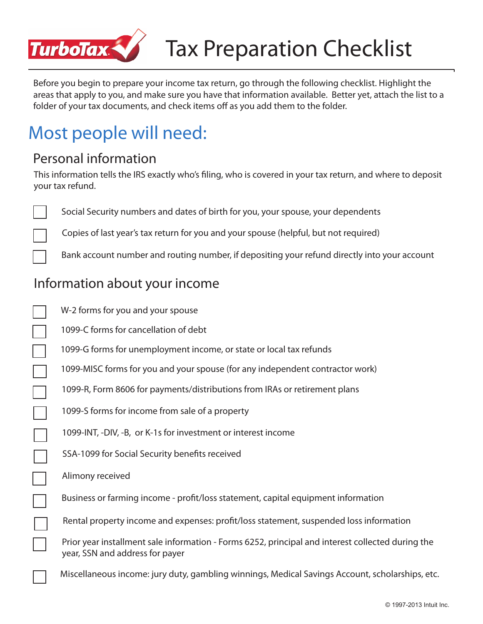

# Tax Preparation Checklist

Before you begin to prepare your income tax return, go through the following checklist. Highlight the areas that apply to you, and make sure you have that information available. Better yet, attach the list to a folder of your tax documents, and check items off as you add them to the folder.

## Most people will need:

#### Personal information

This information tells the IRS exactly who's filing, who is covered in your tax return, and where to deposit your tax refund.

Social Security numbers and dates of birth for you, your spouse, your dependents

Copies of last year's tax return for you and your spouse (helpful, but not required)

Bank account number and routing number, if depositing your refund directly into your account

### Information about your income

| W-2 forms for you and your spouse                                                                                                    |
|--------------------------------------------------------------------------------------------------------------------------------------|
| 1099-C forms for cancellation of debt                                                                                                |
| 1099-G forms for unemployment income, or state or local tax refunds                                                                  |
| 1099-MISC forms for you and your spouse (for any independent contractor work)                                                        |
| 1099-R, Form 8606 for payments/distributions from IRAs or retirement plans                                                           |
| 1099-S forms for income from sale of a property                                                                                      |
| 1099-INT, -DIV, -B, or K-1s for investment or interest income                                                                        |
| SSA-1099 for Social Security benefits received                                                                                       |
| Alimony received                                                                                                                     |
| Business or farming income - profit/loss statement, capital equipment information                                                    |
| Rental property income and expenses: profit/loss statement, suspended loss information                                               |
| Prior year installment sale information - Forms 6252, principal and interest collected during the<br>year, SSN and address for payer |
| Miscellaneous income: jury duty, gambling winnings, Medical Savings Account, scholarships, etc.                                      |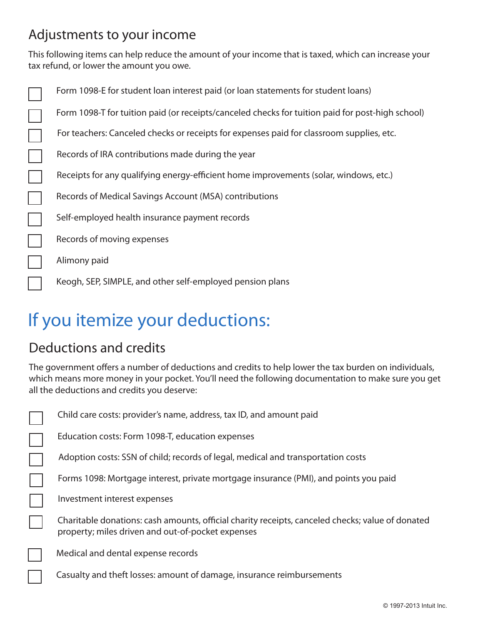### Adjustments to your income

This following items can help reduce the amount of your income that is taxed, which can increase your tax refund, or lower the amount you owe.

| Form 1098-E for student loan interest paid (or loan statements for student loans)                |
|--------------------------------------------------------------------------------------------------|
| Form 1098-T for tuition paid (or receipts/canceled checks for tuition paid for post-high school) |
| For teachers: Canceled checks or receipts for expenses paid for classroom supplies, etc.         |
| Records of IRA contributions made during the year                                                |
| Receipts for any qualifying energy-efficient home improvements (solar, windows, etc.)            |
| Records of Medical Savings Account (MSA) contributions                                           |
| Self-employed health insurance payment records                                                   |
| Records of moving expenses                                                                       |
| Alimony paid                                                                                     |
| Keogh, SEP, SIMPLE, and other self-employed pension plans                                        |

# If you itemize your deductions:

### Deductions and credits

The government offers a number of deductions and credits to help lower the tax burden on individuals, which means more money in your pocket. You'll need the following documentation to make sure you get all the deductions and credits you deserve:

| Child care costs: provider's name, address, tax ID, and amount paid |  |  |
|---------------------------------------------------------------------|--|--|
|                                                                     |  |  |

Education costs: Form 1098-T, education expenses

Adoption costs: SSN of child; records of legal, medical and transportation costs

Forms 1098: Mortgage interest, private mortgage insurance (PMI), and points you paid

Investment interest expenses

Charitable donations: cash amounts, official charity receipts, canceled checks; value of donated property; miles driven and out-of-pocket expenses

Medical and dental expense records

Casualty and theft losses: amount of damage, insurance reimbursements